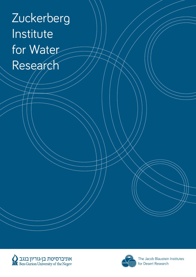### Zuckerberg **Institute** for Water Research





The Jacob Blaustein Institutes for Desert Research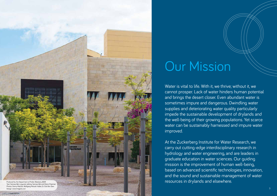Water is vital to life. With it, we thrive; without it, we cannot prosper. Lack of water hinders human potential and brings the desert closer. Even abundant water is sometimes impure and dangerous. Dwindling water supplies and deteriorating water quality particularly impede the sustainable development of drylands and the well-being of their growing populations. Yet scarce water can be sustainably harnessed and impure water improved.



At the Zuckerberg Institute for Water Research, we carry out cutting-edge interdisciplinary research in hydrology and water engineering, and are leaders in graduate education in water sciences. Our guiding mission is the improvement of human well-being, based on advanced scientific technologies, innovation, and the sound and sustainable management of water resources in drylands and elsewhere.

# Our Mission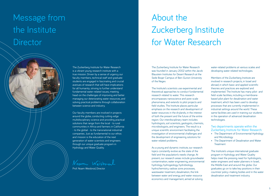### About the Zuckerberg Institute for Water Research

The Zuckerberg Institute for Water Research was founded in January 2002 within the Jacob Blaustein Institutes for Desert Research at the Sede Boqer Campus of Ben-Gurion University of the Negev.

The Institute's scientists use experimental and theoretical approaches to conduct fundamental research related to water. This research encompasses nanoscience and pore-scale phenomena, and extends to pilot projects and field studies. The Institute places particular emphasis on the research and development of water resources in the drylands, in the interest of both the present and the future of the entire region. Our interdisciplinary team includes hydrologists, soil scientists, geologists, chemists, microbiologists, and engineers. The result is a unique scientific environment facilitating the investigation of environmental challenges and the development of engineering solutions for water-related problems.

As a young and dynamic institute, our research topics constantly evolve as the state of the field and the population's needs change. At present, our research areas include groundwater contamination, water engineering, environmental hydrology, hydrogeology, hydrobiology, hydrochemistry, vadose zone processes, wastewater treatment, desalination, the link between water and energy, and water resource economics and management, aimed at solving

### Message from the Institute **Director**



- The Department of Environmental Hydrology and Microbiology
- The Department of Desalination and Water **Treatment**

The Zuckerberg Institute for Water Research is a vibrant young research institute with a true mission. Driven by a sense of urgency, our faculty members, technical staff and graduate students are engaged in fascinating and crucial avenues of research that will have implications for all humanity; striving to further understand fundamental water-related issues, meeting head-on the challenges of improving and better managing our deteriorating water resources, and solving practical problems through collaboration between science and industry.

Our faculty members are involved in projects around the globe, conducting cutting-edge multidisciplinary science and providing practical solutions that range from the local - to rural communities in Africa and farmers in California - to the global - to the transnational industrial companies. Just as fundamental to our ethos and mission is the education of the next generation of water scientists and engineers through our unique graduate program in Hydrology and Water Quality.

Noam Weisbral

Prof. Noam Weisbrod, Director

water-related problems at various scales and developing water-related technologies.

Members of the Zuckerberg Institute are involved in research projects, in Israel and abroad, in which basic and applied scientific theories and practices are explored and implemented. The Institute has many pilot- and field-scale facilities, including a membranebased pilot plant for desalination and water treatment, which has been used to develop processes that are currently implemented in industrial settings around the world. These same facilities are used in training our students in the operation of advanced desalination technologies.

Two departments operate within the Zuckerberg Institute for Water Research:

The Institute's unique international graduate program in Hydrology and Water Quality helps meet the pressing need for hydrologists, water engineers and water planners in Israel, the Middle East and around the globe. Our graduates go on to take key positions in their countries' policy-making bodies and in the water desalination and treatment industry.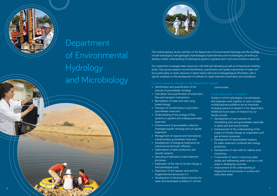The multidisciplinary faculty members of the Department of Environmental Hydrology and Microbiology include hydrologists, hydrogeologists, hydrobiologists, hydrochemists and microbiologists, all working to develop a better understanding of hydrological systems in general, and in arid environments in particular.

Our researchers investigate water resources in the field and laboratory, as well as at theoretical-modeling levels. They pursue research into the identification, quantification and quality improvement of water and focus particularly on water resources in desert basins with scarce hydrogeological information, with a specific emphasis on the development of methods for water treatment, reclamation and remediation.

### Current research interests in the department include

- Identification and quantification of the sources of groundwater recharge
- Calculation and quantification of subsurface flow and transport mechanisms
- Remediation of water and soils using biotechnology
- Transport of contaminants to and within groundwater reservoirs
- Understanding of the ecology of flow systems in aquifers and underground water reservoirs
- Enhancement of groundwater collection (managed aquifer recharge and soil aquifer treatment)
- Management of regional and international transboundary groundwater reservoirs
- Development of biological treatments for industrial and domestic effluents
- Optimization of water production and transfer systems
- Upscaling of laboratory-scale treatment processes
- Exploration of the role of climate change in the hydrological cycle
- Exploration of the riparian zone and the biogeochemical processes in it
- Development of decentralized solutions for water and wastewater problems in remote

communities

### Future directions in research

Studies in which hydrologists, microbiologists and engineers work together to solve complex multidisciplinary problems are an important emerging avenue of research in the department. Additional future topics of research by our faculty include: • Development of new solutions for

- remediating soils and groundwater, especially in saline and arid environments
- Enhancement of the understanding of the impact of climate change on evaporation and gas emission processes
- Development of decentralized systems for water treatment combined with energy production
- Development of new tools for vadose zone monitoring
- Continuation of work in improving water quality and addressing water scarcity in rural areas in developing countries
- Improvement of the understanding of biogeochemical processes in surface and subsurface water



Department of Environmental Hydrology and Microbiology

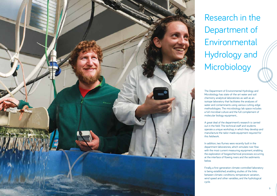Research in the Department of Environmental Hydrology and Microbiology

The Department of Environmental Hydrology and Microbiology has state-of-the-art water and soil chemistry analytical laboratories as well as an isotope laboratory that facilitates the analyses of water and contaminants using various cutting-edge methodologies. The microbiology lab space includes a full microbial culture and the full complement of molecular biology equipment, .

A great deal of the department's research is carried out in the field. The technical staff and students operate a unique workshop, in which they develop and manufacture the tailor-made equipment required for this fieldwork.



In addition, two flumes were recently built in the department laboratories, which simulate river flow with the most current measuring equipment, enabling the exploration of biogeochemical processes occurring at the interface of flowing rivers and the sediments

Finally, a first-generation climate-controlled laboratory is being established, enabling studies of the links between climatic conditions, temperature variation, wind speed and other variables, and the hydrological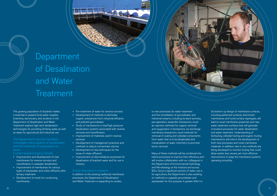

## Department of Desalination and Water **Treatment**

The growing population of drylands makes it essential to expand local water supplies. Scientists, technicians, and students in the Department of Desalination and Water Treatment explore high-tech desalination technologies for providing drinking water, as well as water for agricultural and industrial use.

The department's faculty members investigate many aspects of desalination reuse.

### Current research topics include

- Improvement and development of new membranes for reverse osmosis and nanofiltration in seawater desalination
- Improvement of membranes for various types of wastewater and urban effluents after tertiary treatment
- Development of novel ion-conducting membranes
- Pre-treatment of water for reverse osmosis
- Development of methods to eliminate organic substances from industrial effluents and polluted groundwater
- Study of mechanisms in low/high-pressure desalination systems associated with reverse osmosis and nanofiltration
- Improvement of materials used in reverse osmosis
- Development of management practices and methods to reduce concentrate volume
- Development of new techniques for the reuse of urban effluents
- Improvement of electrodialysis processes for desalination of brackish water and for use in industry

### Future directions in research

In addition to the existing traditional membrane processes, the Department of Desalination and Water Treatment is expanding its studies

to new processes for water treatment and the remediation of groundwater and industrial streams, including forward osmosis, pervaporation, anaerobic bioreactors, novel air injection methods for organic removal and oxygenation in bioreactors, ion exchange membrane bioreactors, novel methods for removal of scaling and colloidal components from water that is to be desalinated and manipulation of water chemistry to promote boron removal.

Many of these methods will be combined into hybrid processes to improve their efficiency, and will involve collaboration with our colleagues in the Department of Environmental Hydrology and Microbiology at the Institute and across BGU. Since a significant portion of water use is for agriculture, the Department is also working on methods to upgrade groundwater and wastewater for this purpose. A greater effort to



do bottom-up design of membrane surfaces, including patterned surfaces, biomimetic membranes and novel surface topologies, will lead to novel membrane properties and new water treatment surfaces that will generate innovative processes for water desalination and water treatment. Understanding of biofouling, colloidal fouling and organic fouling mechanisms will inform the development of both new processes and novel membrane materials. In addition, new in-situ methods are being developed to monitor fouling that could allow earlier, less severe, yet more effective interventions to keep the membrane systems operating smoothly.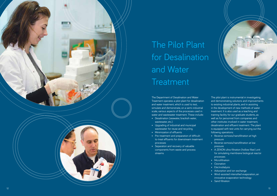

## The Pilot Plant for Desalination and Water **Treatment**

The Department of Desalination and Water Treatment operates a pilot plant for desalination and water treatment, which is used to test, simulate and demonstrate, on a semi-industrial scale, various aspects of the processes used in water and wastewater treatment. These include:

- Desalination (seawater, brackish water, wastewater, etc.)
- Upgrading of industrial and municipal wastewater for reuse and recycling
- 
- Minimization of effluents<br>• Pre-treatment and preparation of difficultto-treat effluents for downstream treatment processes
- Separation and recovery of valuable components from waste and process streams



- pressure
- Reverse osmosis/nanofiltration at low pressure
- A ZENON ultra-filtration (hollow fiber) unit for simulating membrane biological reactor processes
- Microfiltration
- Ozonation
- Electrodialysis
- Adsorption and ion-exchange
- Wind-assisted intensified evaporation, an innovative evaporation technology
- Sand filtration

The pilot plant is instrumental in investigating and demonstrating solutions and improvements to existing industrial plants, and in assisting in the development of new methods of water treatment. It is also used as a teaching and training facility for our graduate students, as well as for personnel from companies and other institutes involved in water treatment, desalination and effluent treatment. The plant is equipped with test units for carrying out the following operations: • Reverse osmosis/nanofiltration at high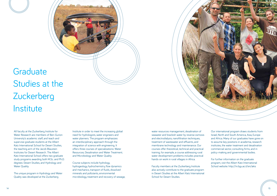### **Graduate** Studies at the **Zuckerberg Institute**

All faculty at the Zuckerberg Institute for Water Research are members of Ben-Gurion University's academic staff, and teach and supervise graduate students at the Albert Katz International School for Desert Studies, the teaching arm of the Jacob Blaustein Institutes for Desert Research. The Albert Katz International School offers two graduate study programs awarding both M.Sc. and Ph.D. degrees: Desert Studies, and Hydrology and Water Quality.

The unique program in Hydrology and Water Quality was developed at the Zuckerberg

Institute in order to meet the increasing global need for hydrologists, water engineers and water planners. The program emphasizes an interdisciplinary approach through the integration of science with engineering. It offers three courses of specializations: Water Resources; Desalination and Water Treatment; and Microbiology and Water Quality.

Course subjects include hydrology, hydrogeology, hydrochemistry, flow dynamics and mechanics, transport of fluids, dissolved minerals and pollutants, environmental microbiology, treatment and recovery of sewage, water resources management, desalination of seawater and brackish water by reverse osmosis and electrodialysis, nanofiltration techniques, treatment of wastewater and effluents, and membrane technology and maintenance. Our courses offer theoretical, technical and practical training; for example, a course addressing rural water development problems includes practical hands-on work in rural villages in Africa.

Faculty members at the Zuckerberg Institute also actively contribute to the graduate program in Desert Studies at the Albert Katz International School for Desert Studies.



Our international program draws students from Israel, North and South America, Asia, Europe and Africa. Many of our graduates have gone on to assume key positions in academia, research institutes, the water treatment and desalination commercial sector, consulting firms, and in policy-making and governmental bodies.

For further information on the graduate program, visit the Albert Katz International School website: http://in.bgu.ac.il/en/akis